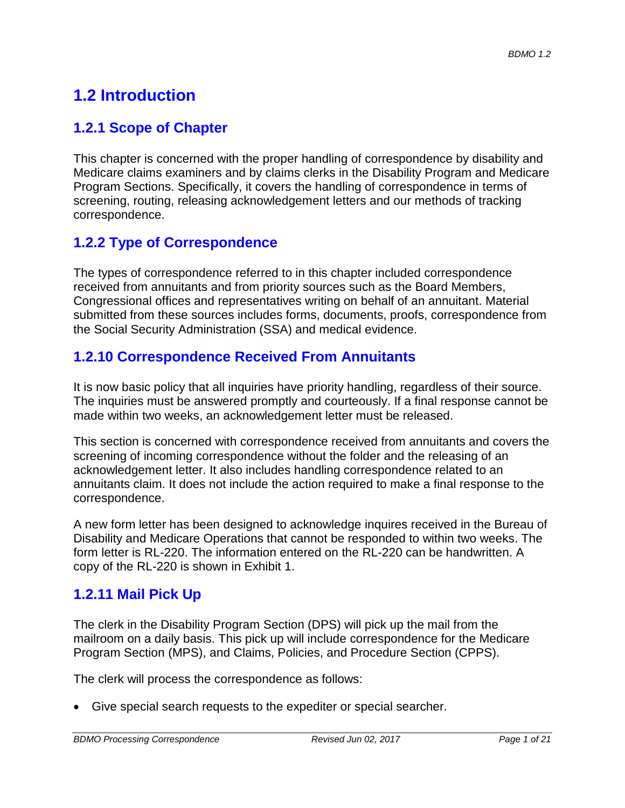# **1.2 Introduction**

### **1.2.1 Scope of Chapter**

This chapter is concerned with the proper handling of correspondence by disability and Medicare claims examiners and by claims clerks in the Disability Program and Medicare Program Sections. Specifically, it covers the handling of correspondence in terms of screening, routing, releasing acknowledgement letters and our methods of tracking correspondence.

# **1.2.2 Type of Correspondence**

The types of correspondence referred to in this chapter included correspondence received from annuitants and from priority sources such as the Board Members, Congressional offices and representatives writing on behalf of an annuitant. Material submitted from these sources includes forms, documents, proofs, correspondence from the Social Security Administration (SSA) and medical evidence.

### **1.2.10 Correspondence Received From Annuitants**

It is now basic policy that all inquiries have priority handling, regardless of their source. The inquiries must be answered promptly and courteously. If a final response cannot be made within two weeks, an acknowledgement letter must be released.

This section is concerned with correspondence received from annuitants and covers the screening of incoming correspondence without the folder and the releasing of an acknowledgement letter. It also includes handling correspondence related to an annuitants claim. It does not include the action required to make a final response to the correspondence.

A new form letter has been designed to acknowledge inquires received in the Bureau of Disability and Medicare Operations that cannot be responded to within two weeks. The form letter is RL-220. The information entered on the RL-220 can be handwritten. A copy of the RL-220 is shown in Exhibit 1.

# **1.2.11 Mail Pick Up**

The clerk in the Disability Program Section (DPS) will pick up the mail from the mailroom on a daily basis. This pick up will include correspondence for the Medicare Program Section (MPS), and Claims, Policies, and Procedure Section (CPPS).

The clerk will process the correspondence as follows:

• Give special search requests to the expediter or special searcher.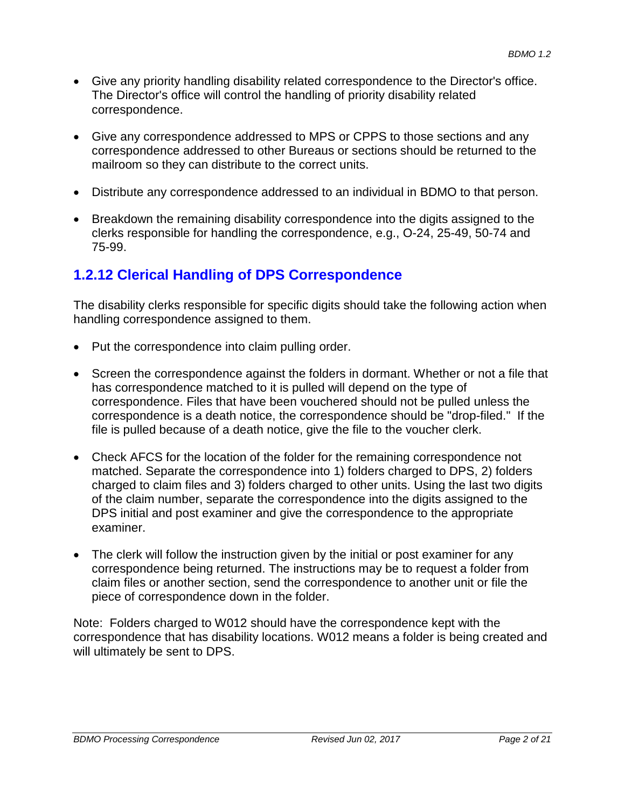- Give any priority handling disability related correspondence to the Director's office. The Director's office will control the handling of priority disability related correspondence.
- Give any correspondence addressed to MPS or CPPS to those sections and any correspondence addressed to other Bureaus or sections should be returned to the mailroom so they can distribute to the correct units.
- Distribute any correspondence addressed to an individual in BDMO to that person.
- Breakdown the remaining disability correspondence into the digits assigned to the clerks responsible for handling the correspondence, e.g., O-24, 25-49, 50-74 and 75-99.

# **1.2.12 Clerical Handling of DPS Correspondence**

The disability clerks responsible for specific digits should take the following action when handling correspondence assigned to them.

- Put the correspondence into claim pulling order.
- Screen the correspondence against the folders in dormant. Whether or not a file that has correspondence matched to it is pulled will depend on the type of correspondence. Files that have been vouchered should not be pulled unless the correspondence is a death notice, the correspondence should be "drop-filed." If the file is pulled because of a death notice, give the file to the voucher clerk.
- Check AFCS for the location of the folder for the remaining correspondence not matched. Separate the correspondence into 1) folders charged to DPS, 2) folders charged to claim files and 3) folders charged to other units. Using the last two digits of the claim number, separate the correspondence into the digits assigned to the DPS initial and post examiner and give the correspondence to the appropriate examiner.
- The clerk will follow the instruction given by the initial or post examiner for any correspondence being returned. The instructions may be to request a folder from claim files or another section, send the correspondence to another unit or file the piece of correspondence down in the folder.

Note: Folders charged to W012 should have the correspondence kept with the correspondence that has disability locations. W012 means a folder is being created and will ultimately be sent to DPS.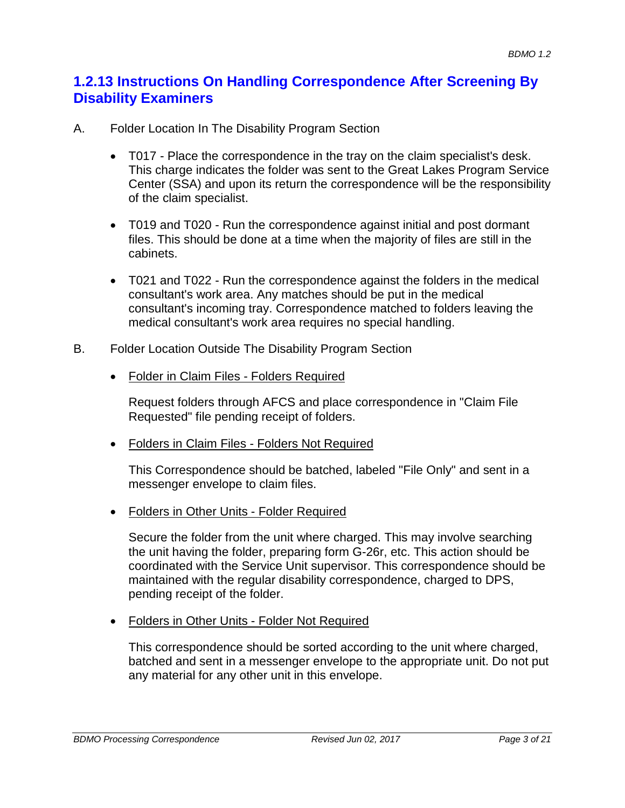### **1.2.13 Instructions On Handling Correspondence After Screening By Disability Examiners**

- A. Folder Location In The Disability Program Section
	- T017 Place the correspondence in the tray on the claim specialist's desk. This charge indicates the folder was sent to the Great Lakes Program Service Center (SSA) and upon its return the correspondence will be the responsibility of the claim specialist.
	- T019 and T020 Run the correspondence against initial and post dormant files. This should be done at a time when the majority of files are still in the cabinets.
	- T021 and T022 Run the correspondence against the folders in the medical consultant's work area. Any matches should be put in the medical consultant's incoming tray. Correspondence matched to folders leaving the medical consultant's work area requires no special handling.
- B. Folder Location Outside The Disability Program Section
	- Folder in Claim Files Folders Required

Request folders through AFCS and place correspondence in "Claim File Requested" file pending receipt of folders.

• Folders in Claim Files - Folders Not Required

This Correspondence should be batched, labeled "File Only" and sent in a messenger envelope to claim files.

• Folders in Other Units - Folder Required

Secure the folder from the unit where charged. This may involve searching the unit having the folder, preparing form G-26r, etc. This action should be coordinated with the Service Unit supervisor. This correspondence should be maintained with the regular disability correspondence, charged to DPS, pending receipt of the folder.

• Folders in Other Units - Folder Not Required

This correspondence should be sorted according to the unit where charged, batched and sent in a messenger envelope to the appropriate unit. Do not put any material for any other unit in this envelope.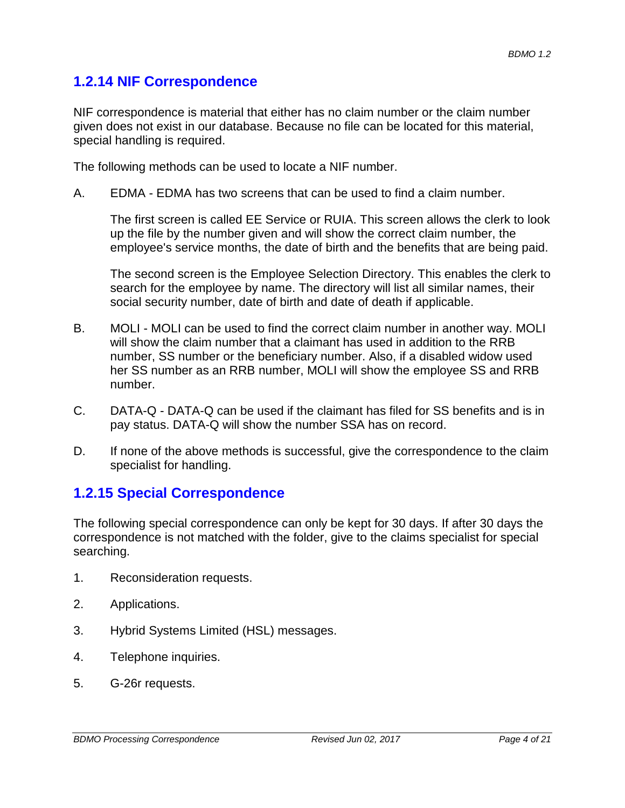### **1.2.14 NIF Correspondence**

NIF correspondence is material that either has no claim number or the claim number given does not exist in our database. Because no file can be located for this material, special handling is required.

The following methods can be used to locate a NIF number.

A. EDMA - EDMA has two screens that can be used to find a claim number.

The first screen is called EE Service or RUIA. This screen allows the clerk to look up the file by the number given and will show the correct claim number, the employee's service months, the date of birth and the benefits that are being paid.

The second screen is the Employee Selection Directory. This enables the clerk to search for the employee by name. The directory will list all similar names, their social security number, date of birth and date of death if applicable.

- B. MOLI MOLI can be used to find the correct claim number in another way. MOLI will show the claim number that a claimant has used in addition to the RRB number, SS number or the beneficiary number. Also, if a disabled widow used her SS number as an RRB number, MOLI will show the employee SS and RRB number.
- C. DATA-Q DATA-Q can be used if the claimant has filed for SS benefits and is in pay status. DATA-Q will show the number SSA has on record.
- D. If none of the above methods is successful, give the correspondence to the claim specialist for handling.

### **1.2.15 Special Correspondence**

The following special correspondence can only be kept for 30 days. If after 30 days the correspondence is not matched with the folder, give to the claims specialist for special searching.

- 1. Reconsideration requests.
- 2. Applications.
- 3. Hybrid Systems Limited (HSL) messages.
- 4. Telephone inquiries.
- 5. G-26r requests.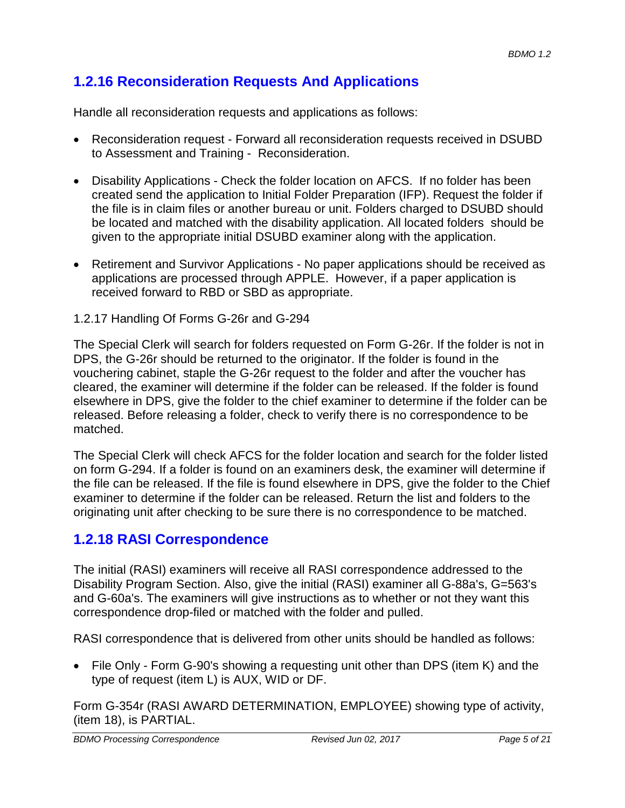# **1.2.16 Reconsideration Requests And Applications**

Handle all reconsideration requests and applications as follows:

- Reconsideration request Forward all reconsideration requests received in DSUBD to Assessment and Training - Reconsideration.
- Disability Applications Check the folder location on AFCS. If no folder has been created send the application to Initial Folder Preparation (IFP). Request the folder if the file is in claim files or another bureau or unit. Folders charged to DSUBD should be located and matched with the disability application. All located folders should be given to the appropriate initial DSUBD examiner along with the application.
- Retirement and Survivor Applications No paper applications should be received as applications are processed through APPLE. However, if a paper application is received forward to RBD or SBD as appropriate.
- 1.2.17 Handling Of Forms G-26r and G-294

The Special Clerk will search for folders requested on Form G-26r. If the folder is not in DPS, the G-26r should be returned to the originator. If the folder is found in the vouchering cabinet, staple the G-26r request to the folder and after the voucher has cleared, the examiner will determine if the folder can be released. If the folder is found elsewhere in DPS, give the folder to the chief examiner to determine if the folder can be released. Before releasing a folder, check to verify there is no correspondence to be matched.

The Special Clerk will check AFCS for the folder location and search for the folder listed on form G-294. If a folder is found on an examiners desk, the examiner will determine if the file can be released. If the file is found elsewhere in DPS, give the folder to the Chief examiner to determine if the folder can be released. Return the list and folders to the originating unit after checking to be sure there is no correspondence to be matched.

### **1.2.18 RASI Correspondence**

The initial (RASI) examiners will receive all RASI correspondence addressed to the Disability Program Section. Also, give the initial (RASI) examiner all G-88a's, G=563's and G-60a's. The examiners will give instructions as to whether or not they want this correspondence drop-filed or matched with the folder and pulled.

RASI correspondence that is delivered from other units should be handled as follows:

• File Only - Form G-90's showing a requesting unit other than DPS (item K) and the type of request (item L) is AUX, WID or DF.

Form G-354r (RASI AWARD DETERMINATION, EMPLOYEE) showing type of activity, (item 18), is PARTIAL.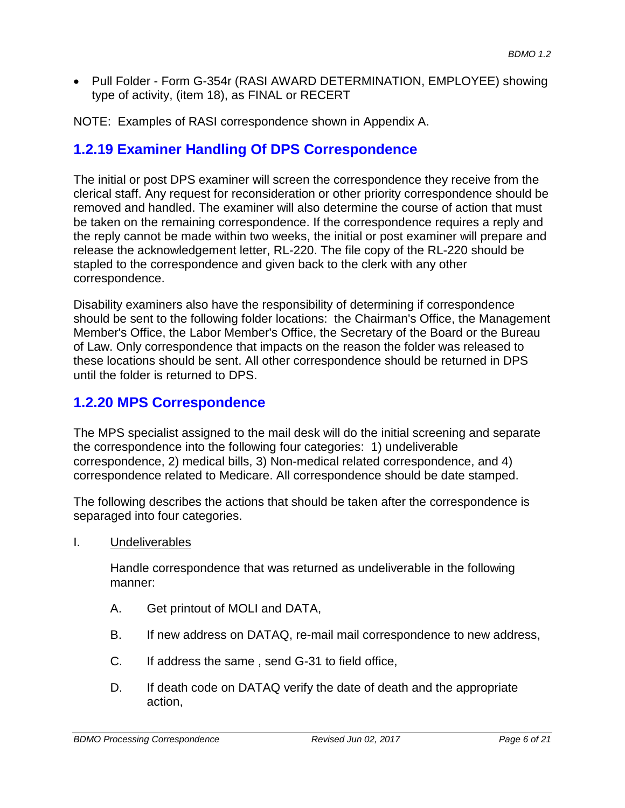• Pull Folder - Form G-354r (RASI AWARD DETERMINATION, EMPLOYEE) showing type of activity, (item 18), as FINAL or RECERT

NOTE: Examples of RASI correspondence shown in Appendix A.

### **1.2.19 Examiner Handling Of DPS Correspondence**

The initial or post DPS examiner will screen the correspondence they receive from the clerical staff. Any request for reconsideration or other priority correspondence should be removed and handled. The examiner will also determine the course of action that must be taken on the remaining correspondence. If the correspondence requires a reply and the reply cannot be made within two weeks, the initial or post examiner will prepare and release the acknowledgement letter, RL-220. The file copy of the RL-220 should be stapled to the correspondence and given back to the clerk with any other correspondence.

Disability examiners also have the responsibility of determining if correspondence should be sent to the following folder locations: the Chairman's Office, the Management Member's Office, the Labor Member's Office, the Secretary of the Board or the Bureau of Law. Only correspondence that impacts on the reason the folder was released to these locations should be sent. All other correspondence should be returned in DPS until the folder is returned to DPS.

#### **1.2.20 MPS Correspondence**

The MPS specialist assigned to the mail desk will do the initial screening and separate the correspondence into the following four categories: 1) undeliverable correspondence, 2) medical bills, 3) Non-medical related correspondence, and 4) correspondence related to Medicare. All correspondence should be date stamped.

The following describes the actions that should be taken after the correspondence is separaged into four categories.

I. Undeliverables

Handle correspondence that was returned as undeliverable in the following manner:

- A. Get printout of MOLI and DATA,
- B. If new address on DATAQ, re-mail mail correspondence to new address,
- C. If address the same , send G-31 to field office,
- D. If death code on DATAQ verify the date of death and the appropriate action,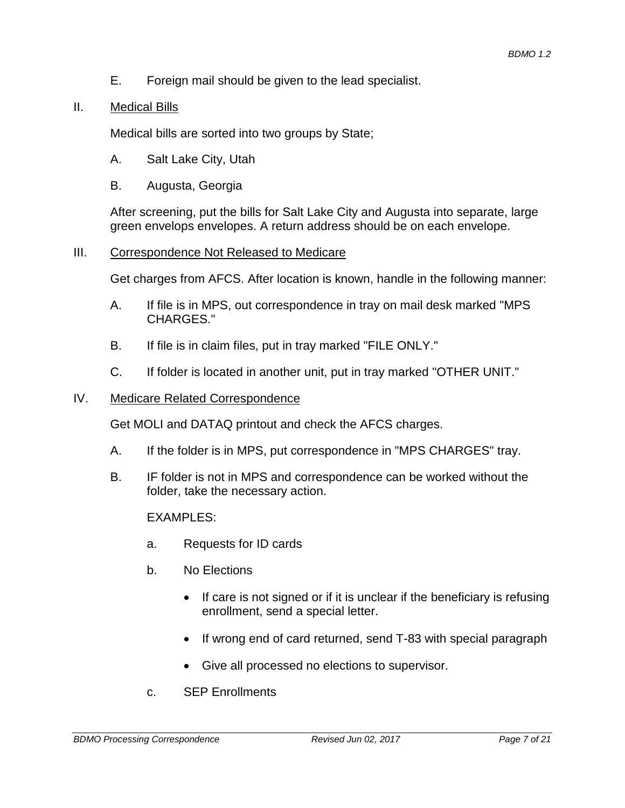E. Foreign mail should be given to the lead specialist.

#### II. Medical Bills

Medical bills are sorted into two groups by State;

- A. Salt Lake City, Utah
- B. Augusta, Georgia

After screening, put the bills for Salt Lake City and Augusta into separate, large green envelops envelopes. A return address should be on each envelope.

#### III. Correspondence Not Released to Medicare

Get charges from AFCS. After location is known, handle in the following manner:

- A. If file is in MPS, out correspondence in tray on mail desk marked "MPS CHARGES."
- B. If file is in claim files, put in tray marked "FILE ONLY."
- C. If folder is located in another unit, put in tray marked "OTHER UNIT."

#### IV. Medicare Related Correspondence

Get MOLI and DATAQ printout and check the AFCS charges.

- A. If the folder is in MPS, put correspondence in "MPS CHARGES" tray.
- B. IF folder is not in MPS and correspondence can be worked without the folder, take the necessary action.

#### EXAMPLES:

- a. Requests for ID cards
- b. No Elections
	- If care is not signed or if it is unclear if the beneficiary is refusing enrollment, send a special letter.
	- If wrong end of card returned, send T-83 with special paragraph
	- Give all processed no elections to supervisor.
- c. SEP Enrollments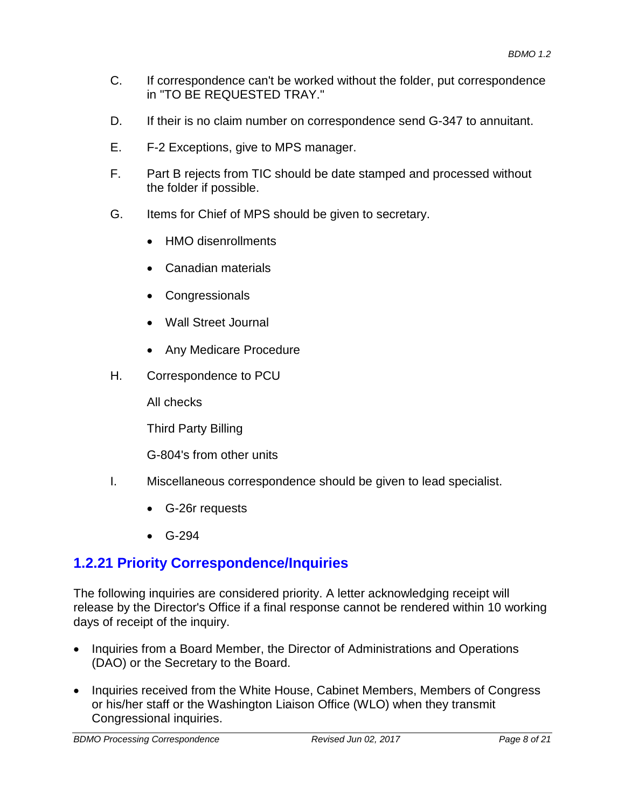- C. If correspondence can't be worked without the folder, put correspondence in "TO BE REQUESTED TRAY."
- D. If their is no claim number on correspondence send G-347 to annuitant.
- E. F-2 Exceptions, give to MPS manager.
- F. Part B rejects from TIC should be date stamped and processed without the folder if possible.
- G. Items for Chief of MPS should be given to secretary.
	- HMO disenrollments
	- Canadian materials
	- Congressionals
	- Wall Street Journal
	- Any Medicare Procedure
- H. Correspondence to PCU

All checks

Third Party Billing

G-804's from other units

- I. Miscellaneous correspondence should be given to lead specialist.
	- G-26r requests
	- G-294

# **1.2.21 Priority Correspondence/Inquiries**

The following inquiries are considered priority. A letter acknowledging receipt will release by the Director's Office if a final response cannot be rendered within 10 working days of receipt of the inquiry.

- Inquiries from a Board Member, the Director of Administrations and Operations (DAO) or the Secretary to the Board.
- Inquiries received from the White House, Cabinet Members, Members of Congress or his/her staff or the Washington Liaison Office (WLO) when they transmit Congressional inquiries.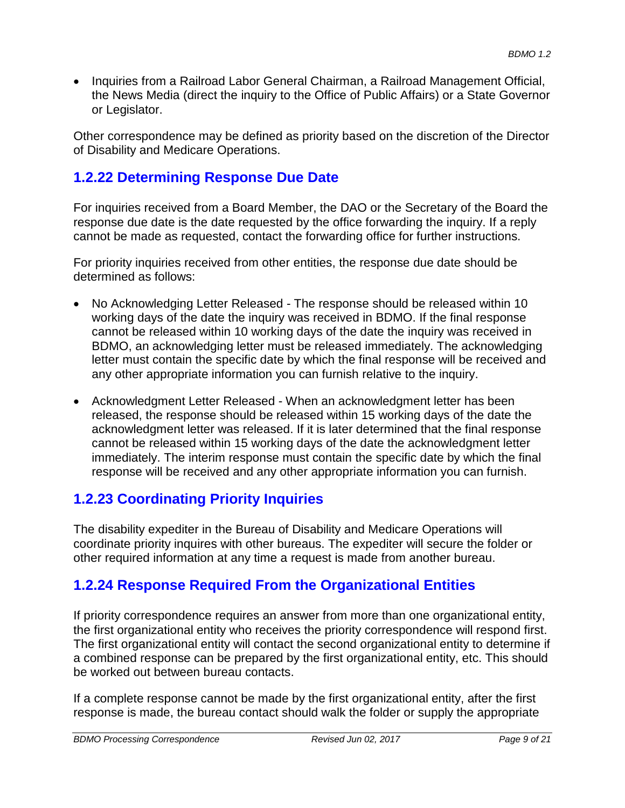• Inquiries from a Railroad Labor General Chairman, a Railroad Management Official, the News Media (direct the inquiry to the Office of Public Affairs) or a State Governor or Legislator.

Other correspondence may be defined as priority based on the discretion of the Director of Disability and Medicare Operations.

# **1.2.22 Determining Response Due Date**

For inquiries received from a Board Member, the DAO or the Secretary of the Board the response due date is the date requested by the office forwarding the inquiry. If a reply cannot be made as requested, contact the forwarding office for further instructions.

For priority inquiries received from other entities, the response due date should be determined as follows:

- No Acknowledging Letter Released The response should be released within 10 working days of the date the inquiry was received in BDMO. If the final response cannot be released within 10 working days of the date the inquiry was received in BDMO, an acknowledging letter must be released immediately. The acknowledging letter must contain the specific date by which the final response will be received and any other appropriate information you can furnish relative to the inquiry.
- Acknowledgment Letter Released When an acknowledgment letter has been released, the response should be released within 15 working days of the date the acknowledgment letter was released. If it is later determined that the final response cannot be released within 15 working days of the date the acknowledgment letter immediately. The interim response must contain the specific date by which the final response will be received and any other appropriate information you can furnish.

# **1.2.23 Coordinating Priority Inquiries**

The disability expediter in the Bureau of Disability and Medicare Operations will coordinate priority inquires with other bureaus. The expediter will secure the folder or other required information at any time a request is made from another bureau.

# **1.2.24 Response Required From the Organizational Entities**

If priority correspondence requires an answer from more than one organizational entity, the first organizational entity who receives the priority correspondence will respond first. The first organizational entity will contact the second organizational entity to determine if a combined response can be prepared by the first organizational entity, etc. This should be worked out between bureau contacts.

If a complete response cannot be made by the first organizational entity, after the first response is made, the bureau contact should walk the folder or supply the appropriate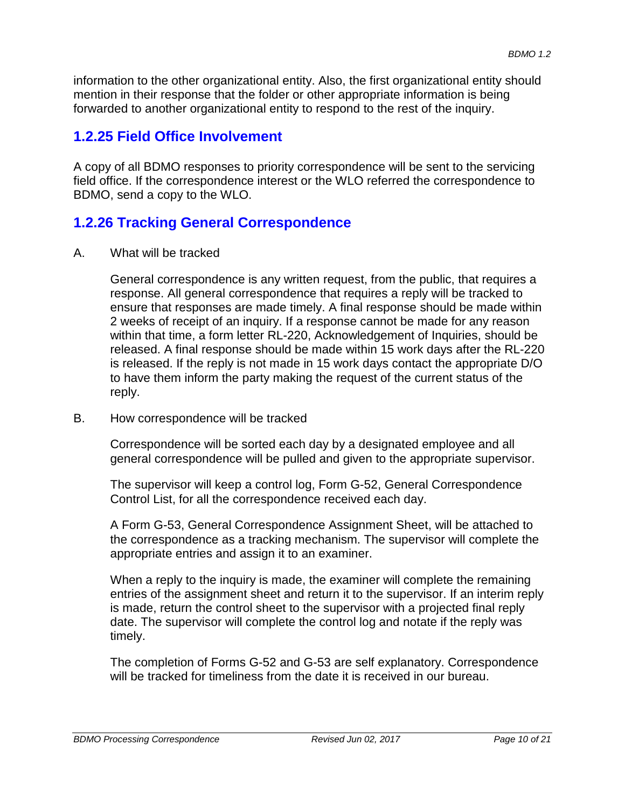information to the other organizational entity. Also, the first organizational entity should mention in their response that the folder or other appropriate information is being forwarded to another organizational entity to respond to the rest of the inquiry.

# **1.2.25 Field Office Involvement**

A copy of all BDMO responses to priority correspondence will be sent to the servicing field office. If the correspondence interest or the WLO referred the correspondence to BDMO, send a copy to the WLO.

### **1.2.26 Tracking General Correspondence**

A. What will be tracked

General correspondence is any written request, from the public, that requires a response. All general correspondence that requires a reply will be tracked to ensure that responses are made timely. A final response should be made within 2 weeks of receipt of an inquiry. If a response cannot be made for any reason within that time, a form letter RL-220, Acknowledgement of Inquiries, should be released. A final response should be made within 15 work days after the RL-220 is released. If the reply is not made in 15 work days contact the appropriate D/O to have them inform the party making the request of the current status of the reply.

B. How correspondence will be tracked

Correspondence will be sorted each day by a designated employee and all general correspondence will be pulled and given to the appropriate supervisor.

The supervisor will keep a control log, Form G-52, General Correspondence Control List, for all the correspondence received each day.

A Form G-53, General Correspondence Assignment Sheet, will be attached to the correspondence as a tracking mechanism. The supervisor will complete the appropriate entries and assign it to an examiner.

When a reply to the inquiry is made, the examiner will complete the remaining entries of the assignment sheet and return it to the supervisor. If an interim reply is made, return the control sheet to the supervisor with a projected final reply date. The supervisor will complete the control log and notate if the reply was timely.

The completion of Forms G-52 and G-53 are self explanatory. Correspondence will be tracked for timeliness from the date it is received in our bureau.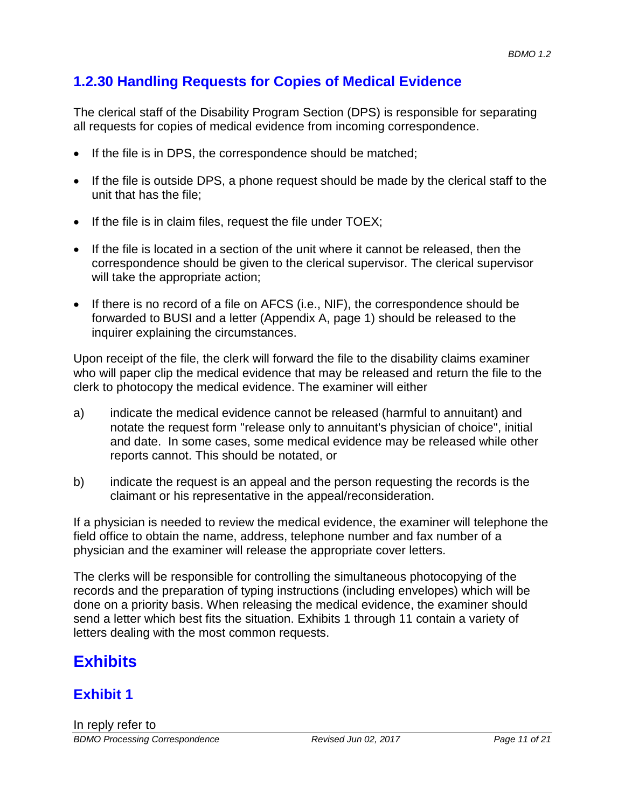# **1.2.30 Handling Requests for Copies of Medical Evidence**

The clerical staff of the Disability Program Section (DPS) is responsible for separating all requests for copies of medical evidence from incoming correspondence.

- If the file is in DPS, the correspondence should be matched;
- If the file is outside DPS, a phone request should be made by the clerical staff to the unit that has the file;
- If the file is in claim files, request the file under TOEX;
- If the file is located in a section of the unit where it cannot be released, then the correspondence should be given to the clerical supervisor. The clerical supervisor will take the appropriate action;
- If there is no record of a file on AFCS (i.e., NIF), the correspondence should be forwarded to BUSI and a letter (Appendix A, page 1) should be released to the inquirer explaining the circumstances.

Upon receipt of the file, the clerk will forward the file to the disability claims examiner who will paper clip the medical evidence that may be released and return the file to the clerk to photocopy the medical evidence. The examiner will either

- a) indicate the medical evidence cannot be released (harmful to annuitant) and notate the request form "release only to annuitant's physician of choice", initial and date. In some cases, some medical evidence may be released while other reports cannot. This should be notated, or
- b) indicate the request is an appeal and the person requesting the records is the claimant or his representative in the appeal/reconsideration.

If a physician is needed to review the medical evidence, the examiner will telephone the field office to obtain the name, address, telephone number and fax number of a physician and the examiner will release the appropriate cover letters.

The clerks will be responsible for controlling the simultaneous photocopying of the records and the preparation of typing instructions (including envelopes) which will be done on a priority basis. When releasing the medical evidence, the examiner should send a letter which best fits the situation. Exhibits 1 through 11 contain a variety of letters dealing with the most common requests.

# **Exhibits**

# **Exhibit 1**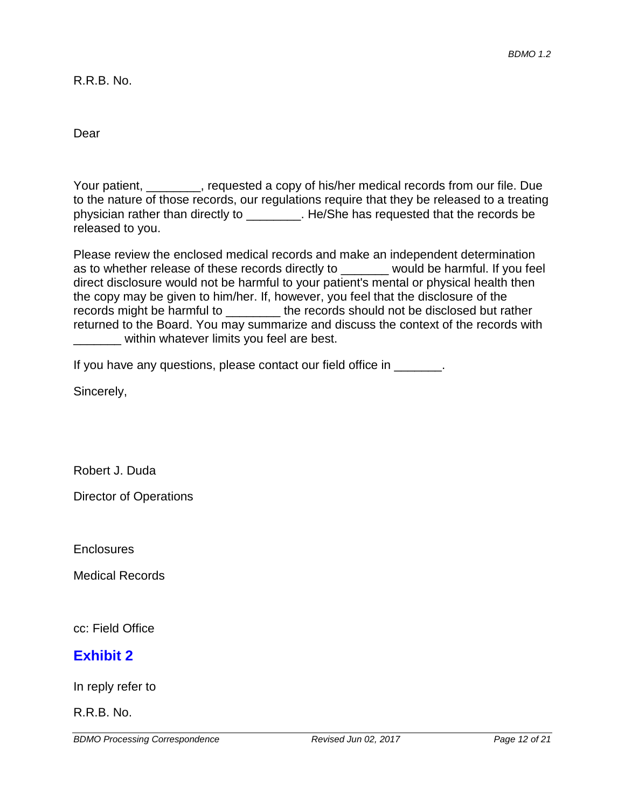R.R.B. No.

Dear

Your patient, \_\_\_\_\_\_\_\_, requested a copy of his/her medical records from our file. Due to the nature of those records, our regulations require that they be released to a treating physician rather than directly to \_\_\_\_\_\_\_\_. He/She has requested that the records be released to you.

Please review the enclosed medical records and make an independent determination as to whether release of these records directly to example would be harmful. If you feel direct disclosure would not be harmful to your patient's mental or physical health then the copy may be given to him/her. If, however, you feel that the disclosure of the records might be harmful to \_\_\_\_\_\_\_\_ the records should not be disclosed but rather returned to the Board. You may summarize and discuss the context of the records with within whatever limits you feel are best.

If you have any questions, please contact our field office in \_\_\_\_\_\_\_.

Sincerely,

Robert J. Duda

Director of Operations

**Enclosures** 

Medical Records

cc: Field Office

### **Exhibit 2**

In reply refer to

R.R.B. No.

*BDMO Processing Correspondence Revised Jun 02, 2017 Page 12 of 21*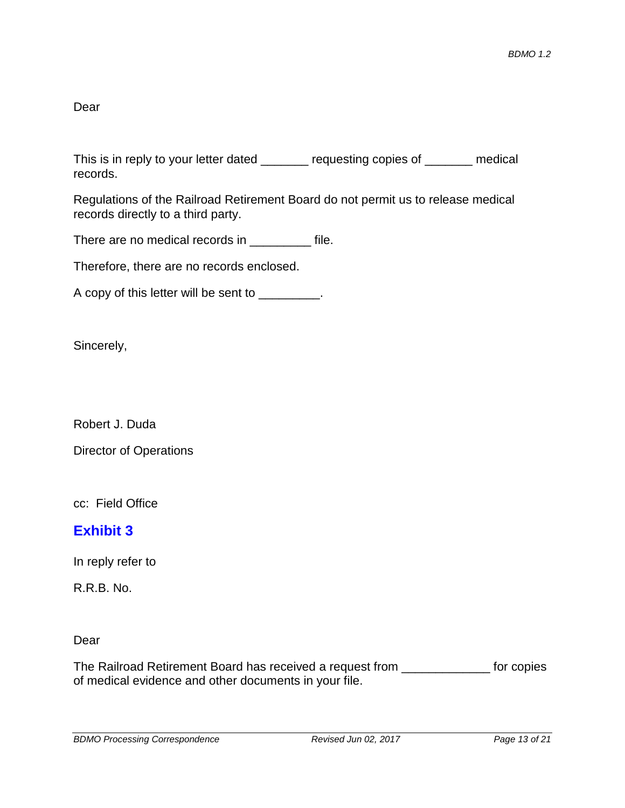Dear

This is in reply to your letter dated \_\_\_\_\_\_\_ requesting copies of \_\_\_\_\_\_ medical records.

Regulations of the Railroad Retirement Board do not permit us to release medical records directly to a third party.

There are no medical records in \_\_\_\_\_\_\_\_\_ file.

Therefore, there are no records enclosed.

A copy of this letter will be sent to \_\_\_\_\_\_\_\_\_.

Sincerely,

Robert J. Duda

Director of Operations

cc: Field Office

### **Exhibit 3**

In reply refer to

R.R.B. No.

#### Dear

The Railroad Retirement Board has received a request from \_\_\_\_\_\_\_\_\_\_\_\_\_ for copies of medical evidence and other documents in your file.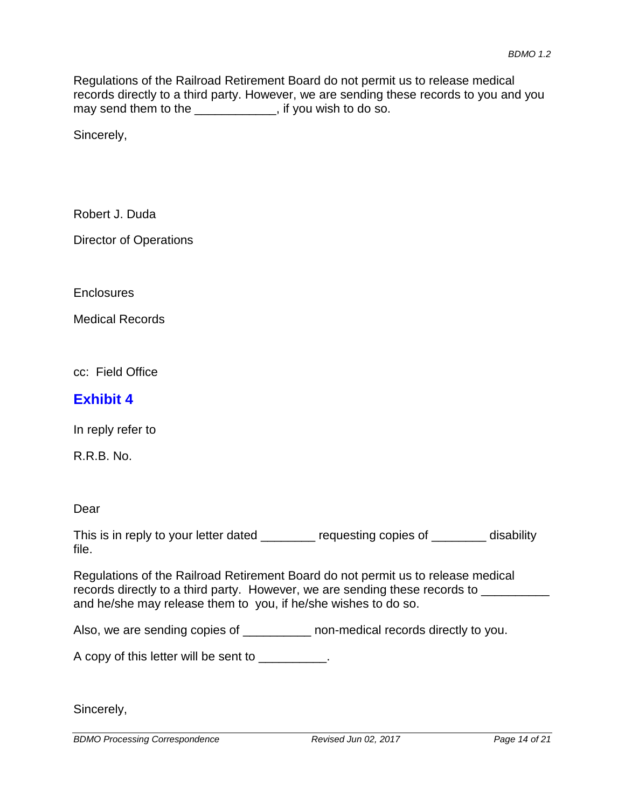Regulations of the Railroad Retirement Board do not permit us to release medical records directly to a third party. However, we are sending these records to you and you may send them to the \_\_\_\_\_\_\_\_\_\_, if you wish to do so.

Sincerely,

Robert J. Duda

Director of Operations

**Enclosures** 

Medical Records

cc: Field Office

#### **Exhibit 4**

In reply refer to

R.R.B. No.

Dear

This is in reply to your letter dated \_\_\_\_\_\_\_ requesting copies of \_\_\_\_\_\_\_ disability file.

Regulations of the Railroad Retirement Board do not permit us to release medical records directly to a third party. However, we are sending these records to \_\_\_\_\_\_\_\_\_ and he/she may release them to you, if he/she wishes to do so.

Also, we are sending copies of \_\_\_\_\_\_\_\_\_\_ non-medical records directly to you.

A copy of this letter will be sent to \_\_\_\_\_\_\_\_\_.

Sincerely,

*BDMO Processing Correspondence Revised Jun 02, 2017 Page 14 of 21*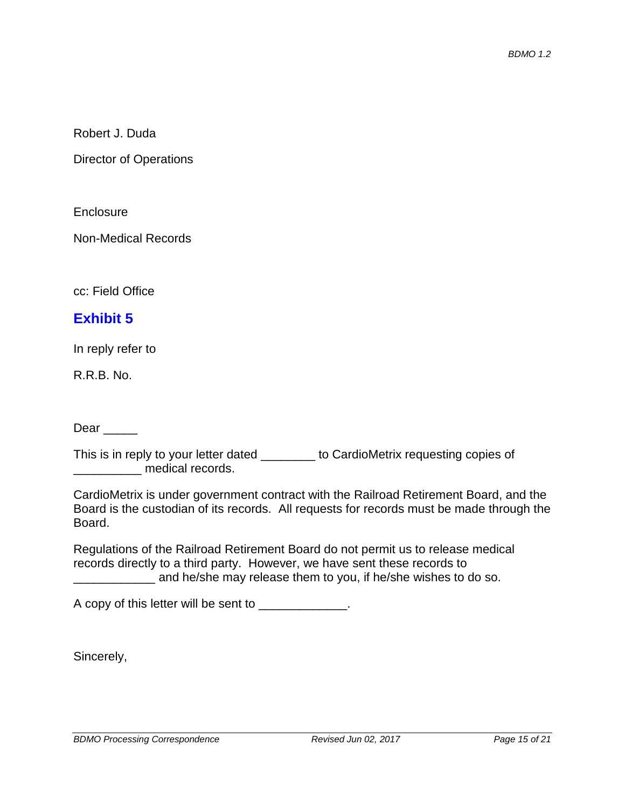Robert J. Duda

Director of Operations

**Enclosure** 

Non-Medical Records

cc: Field Office

#### **Exhibit 5**

In reply refer to

R.R.B. No.

Dear  $\qquad$ 

This is in reply to your letter dated \_\_\_\_\_\_\_\_ to CardioMetrix requesting copies of \_\_\_\_\_\_\_\_\_\_ medical records.

|        | CardioMetrix is under government contract with the Railroad Retirement Board, and the    |
|--------|------------------------------------------------------------------------------------------|
|        | Board is the custodian of its records. All requests for records must be made through the |
| Board. |                                                                                          |

Regulations of the Railroad Retirement Board do not permit us to release medical records directly to a third party. However, we have sent these records to and he/she may release them to you, if he/she wishes to do so.

A copy of this letter will be sent to \_\_\_\_\_\_\_\_\_\_\_\_\_.

Sincerely,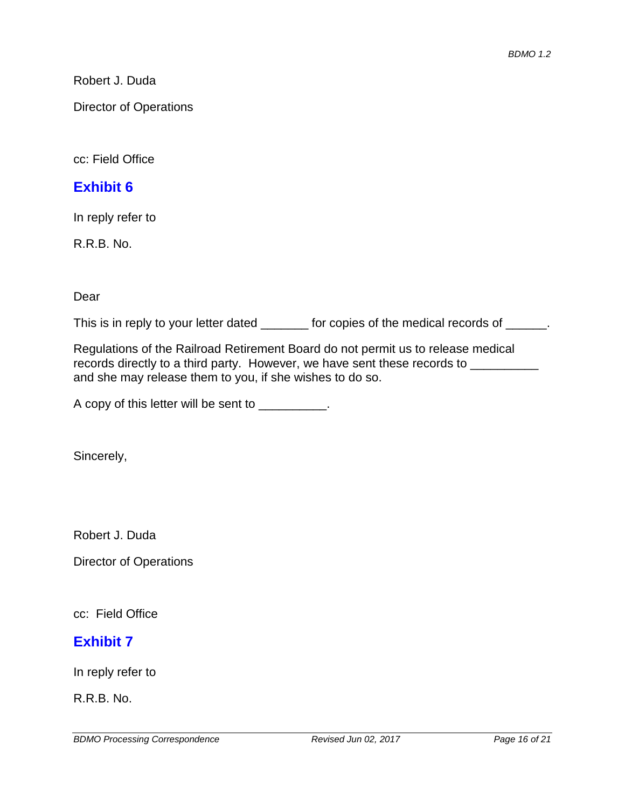Robert J. Duda

Director of Operations

cc: Field Office

#### **Exhibit 6**

In reply refer to

R.R.B. No.

Dear

This is in reply to your letter dated \_\_\_\_\_\_\_ for copies of the medical records of \_\_\_\_\_\_.

Regulations of the Railroad Retirement Board do not permit us to release medical records directly to a third party. However, we have sent these records to \_\_\_\_\_\_\_ and she may release them to you, if she wishes to do so.

A copy of this letter will be sent to \_\_\_\_\_\_\_\_\_.

Sincerely,

Robert J. Duda

Director of Operations

cc: Field Office

### **Exhibit 7**

In reply refer to

R.R.B. No.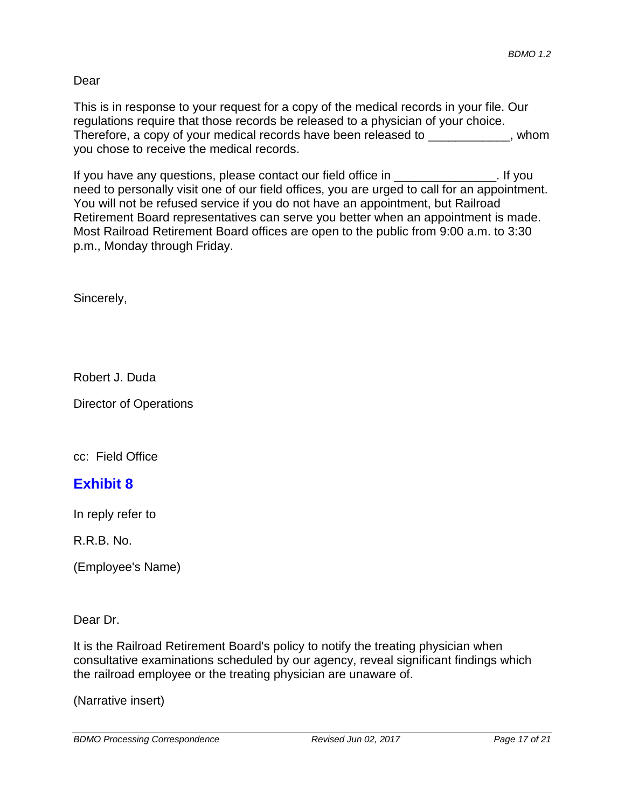#### Dear

This is in response to your request for a copy of the medical records in your file. Our regulations require that those records be released to a physician of your choice. Therefore, a copy of your medical records have been released to  $\blacksquare$ , whom you chose to receive the medical records.

If you have any questions, please contact our field office in \_\_\_\_\_\_\_\_\_\_\_\_\_\_\_. If you need to personally visit one of our field offices, you are urged to call for an appointment. You will not be refused service if you do not have an appointment, but Railroad Retirement Board representatives can serve you better when an appointment is made. Most Railroad Retirement Board offices are open to the public from 9:00 a.m. to 3:30 p.m., Monday through Friday.

Sincerely,

Robert J. Duda

Director of Operations

cc: Field Office

# **Exhibit 8**

In reply refer to

R.R.B. No.

(Employee's Name)

Dear Dr.

It is the Railroad Retirement Board's policy to notify the treating physician when consultative examinations scheduled by our agency, reveal significant findings which the railroad employee or the treating physician are unaware of.

(Narrative insert)

*BDMO Processing Correspondence Revised Jun 02, 2017 Page 17 of 21*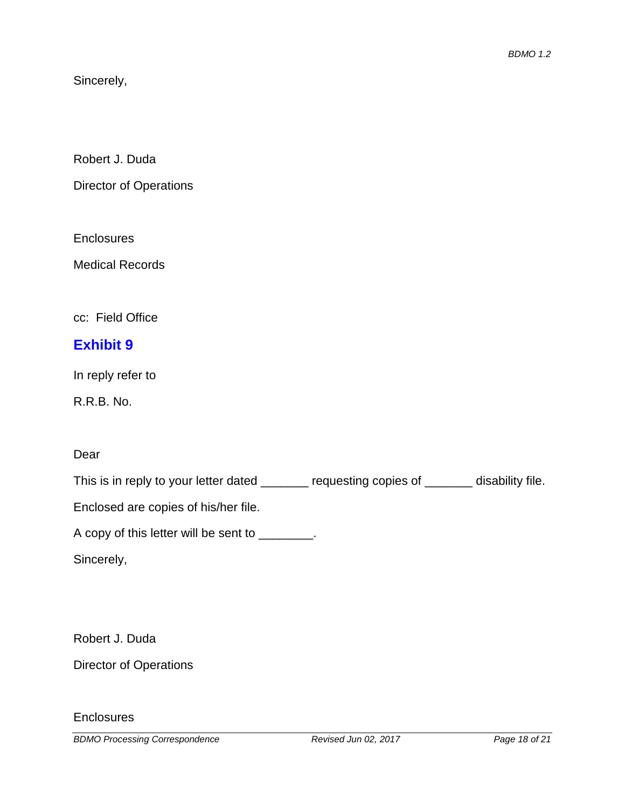Sincerely,

Robert J. Duda

Director of Operations

**Enclosures** 

Medical Records

cc: Field Office

# **Exhibit 9**

In reply refer to

R.R.B. No.

#### Dear

This is in reply to your letter dated \_\_\_\_\_\_ requesting copies of \_\_\_\_\_ disability file.

Enclosed are copies of his/her file.

A copy of this letter will be sent to \_\_\_\_\_\_\_\_.

Sincerely,

Robert J. Duda

Director of Operations

**Enclosures** 

*BDMO Processing Correspondence Revised Jun 02, 2017 Page 18 of 21*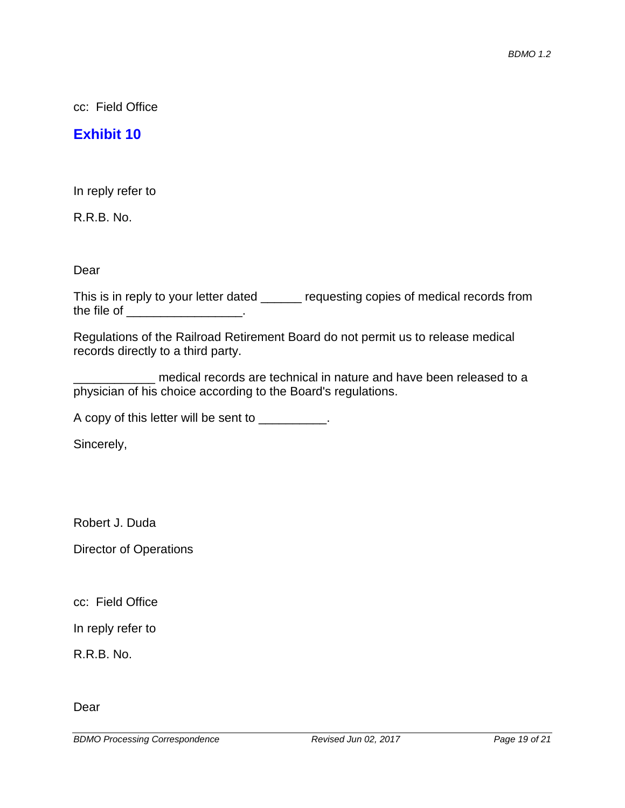cc: Field Office

#### **Exhibit 10**

In reply refer to

R.R.B. No.

Dear

This is in reply to your letter dated \_\_\_\_\_\_ requesting copies of medical records from the file of the state of the state of the state of  $\sim$ 

Regulations of the Railroad Retirement Board do not permit us to release medical records directly to a third party.

\_\_\_\_\_\_\_\_\_\_\_\_ medical records are technical in nature and have been released to a physician of his choice according to the Board's regulations.

A copy of this letter will be sent to \_\_\_\_\_\_\_\_\_.

Sincerely,

Robert J. Duda

Director of Operations

cc: Field Office

In reply refer to

R.R.B. No.

Dear

*BDMO Processing Correspondence Revised Jun 02, 2017 Page 19 of 21*